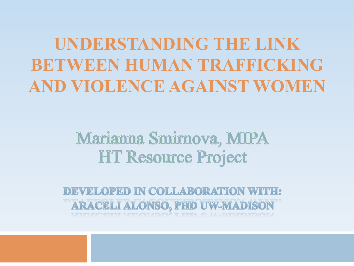**UNDERSTANDING THE LINK BETWEEN HUMAN TRAFFICKING AND VIOLENCE AGAINST WOMEN**

> Marianna Smirnova, MIPA **HT Resource Project**

**DEVELOPED IN COLLABORATION WITH: ARACELI ALONSO, PHD UW-MADISON**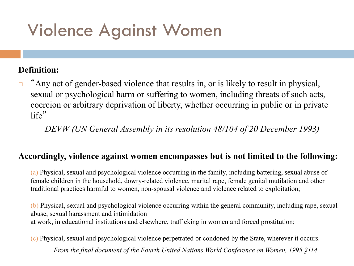# Violence Against Women

#### **Definition:**

 $\Box$ "Any act of gender-based violence that results in, or is likely to result in physical, sexual or psychological harm or suffering to women, including threats of such acts, coercion or arbitrary deprivation of liberty, whether occurring in public or in private life"

*DEVW (UN General Assembly in its resolution 48/104 of 20 December 1993)* 

#### **Accordingly, violence against women encompasses but is not limited to the following:**

(a) Physical, sexual and psychological violence occurring in the family, including battering, sexual abuse of female children in the household, dowry-related violence, marital rape, female genital mutilation and other traditional practices harmful to women, non-spousal violence and violence related to exploitation;

(b) Physical, sexual and psychological violence occurring within the general community, including rape, sexual abuse, sexual harassment and intimidation at work, in educational institutions and elsewhere, trafficking in women and forced prostitution;

(c) Physical, sexual and psychological violence perpetrated or condoned by the State, wherever it occurs.

*From the final document of the Fourth United Nations World Conference on Women, 1995 §114*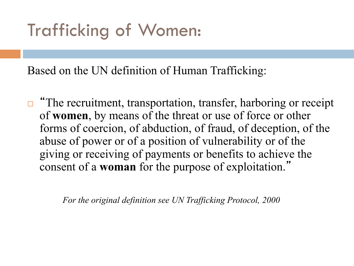# Trafficking of Women:

Based on the UN definition of Human Trafficking:

 $\Box$  "The recruitment, transportation, transfer, harboring or receipt of **women**, by means of the threat or use of force or other forms of coercion, of abduction, of fraud, of deception, of the abuse of power or of a position of vulnerability or of the giving or receiving of payments or benefits to achieve the consent of a **woman** for the purpose of exploitation."

*For the original definition see UN Trafficking Protocol, 2000*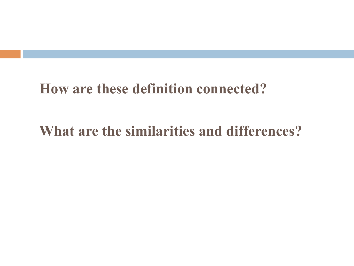#### **How are these definition connected?**

#### **What are the similarities and differences?**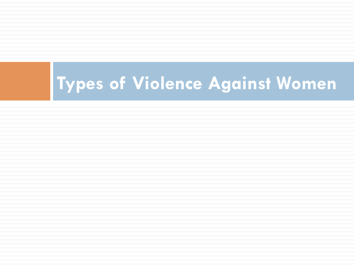# **Types of Violence Against Women**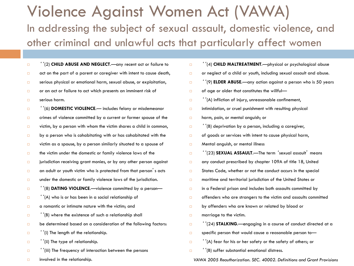#### Violence Against Women Act (VAWA) In addressing the subject of sexual assault, domestic violence, and other criminal and unlawful acts that particularly affect women

 ʻʻ(2) **CHILD ABUSE AND NEGLECT**.—any recent act or failure to  $\Box$  act on the part of a parent or caregiver with intent to cause death,  $\Box$  serious physical or emotional harm, sexual abuse, or exploitation, or an act or failure to act which presents an imminent risk of □ serious harm.

 ʻʻ(6) **DOMESTIC VIOLENCE**.— includes felony or misdemeanor  $\Box$  crimes of violence committed by a current or former spouse of the  $\Box$  victim, by a person with whom the victim shares a child in common,  $\Box$  by a person who is cohabitating with or has cohabitated with the  $\Box$  victim as a spouse, by a person similarly situated to a spouse of  $\Box$  the victim under the domestic or family violence laws of the  $\Box$  jurisdiction receiving grant monies, or by any other person against  $\Box$  an adult or youth victim who is protected from that person's acts  $\Box$  under the domestic or family violence laws of the jurisdiction. ʻʻ(8) **DATING VIOLENCE**.—violence committed by a person—  $\Box$  <sup>'</sup>(A) who is or has been in a social relationship of  $\Box$  a romantic or intimate nature with the victim; and  $\Box$  <sup>'</sup><sup>'</sup>(B) where the existence of such a relationship shall  $\Box$  be determined based on a consideration of the following factors:  $\Box$  <sup>''</sup>(i) The length of the relationship. ʻʻ(ii) The type of relationship.  $\Box$  <sup>'</sup>'(iii) The frequency of interaction between the persons

**involved in the relationship.** 

- ʻʻ(4) **CHILD MALTREATMENT**.—physical or psychological abuse
- $\Box$  or neglect of a child or youth, including sexual assault and abuse.
- ʻʻ(9) **ELDER ABUSE**.—any action against a person who is 50 years
- $\Box$  of age or older that constitutes the willful—
- $\Box$  <sup>'</sup><sup>(</sup>(A) infliction of injury, unreasonable confinement,
- $\Box$  intimidation, or cruel punishment with resulting physical
- harm, pain, or mental anguish; or
- $\Box$  <sup>'</sup><sup>'</sup>(B) deprivation by a person, including a caregiver,
- $\Box$  of goods or services with intent to cause physical harm,
- **E** Mental anguish, or mental illness
- ʻʻ(23) **SEXUAL ASSAULT**.—The term ʻsexual assault' means
- □ any conduct prescribed by chapter 109A of title 18, United
- □ States Code, whether or not the conduct occurs in the special
- maritime and territorial jurisdiction of the United States or
- $\Box$  in a Federal prison and includes both assaults committed by
- $\Box$  offenders who are strangers to the victim and assaults committed
- $\Box$  by offenders who are known or related by blood or
- **n** marriage to the victim.
- ʻʻ(24) **STALKING**.—engaging in a course of conduct directed at a
- specific person that would cause a reasonable person to—
- ʻʻ(A) fear for his or her safety or the safety of others; or
- ʻʻ(B) suffer substantial emotional distress.
	- *VAWA 2005 Reauthorization. SEC. 40002. Definitions and Grant Provisions*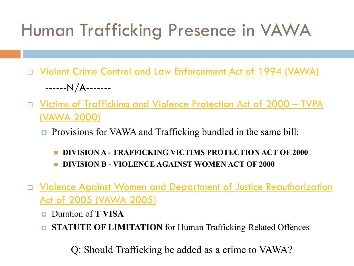# Human Trafficking Presence in VAWA

□ Violent Crime Control and Law Enforcement Act of 1994 (VAWA)

------N/A-------

- □ <u>Victims of Trafficking and Violence Protection Act of 2000 TVPA</u> (VAWA 2000)
	- **Provisions for VAWA and Trafficking bundled in the same bill:** 
		- **DIVISION A TRAFFICKING VICTIMS PROTECTION ACT OF 2000**
		- **DIVISION B VIOLENCE AGAINST WOMEN ACT OF 2000**
- D Violence Against Women and Department of Justice Reauthorization Act of 2005 (VAWA 2005)
	- **<u>F</u>** Duration of **T VISA**
	- **STATUTE OF LIMITATION** for Human Trafficking-Related Offences

Q: Should Trafficking be added as a crime to VAWA?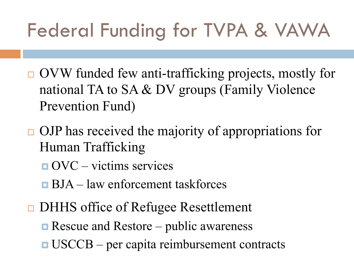# Federal Funding for TVPA & VAWA

- $\Box$  OVW funded few anti-trafficking projects, mostly for national TA to SA & DV groups (Family Violence Prevention Fund)
- $\Box$  OJP has received the majority of appropriations for Human Trafficking
	- $\Box$  OVC victims services
	- $\Box$  BJA law enforcement taskforces
- **□ DHHS office of Refugee Resettlement**  $\blacksquare$  Rescue and Restore – public awareness ■ USCCB – per capita reimbursement contracts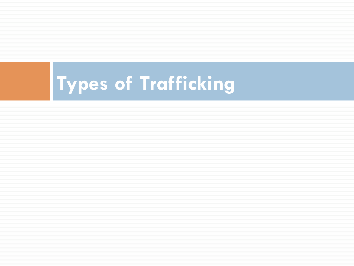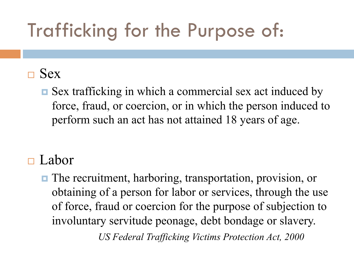# Trafficking for the Purpose of:

#### Sex

■ Sex trafficking in which a commercial sex act induced by force, fraud, or coercion, or in which the person induced to perform such an act has not attained 18 years of age.

### Labor

**The recruitment, harboring, transportation, provision, or** obtaining of a person for labor or services, through the use of force, fraud or coercion for the purpose of subjection to involuntary servitude peonage, debt bondage or slavery.

*US Federal Trafficking Victims Protection Act, 2000*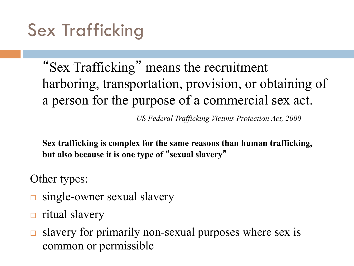# Sex Trafficking

"Sex Trafficking" means the recruitment harboring, transportation, provision, or obtaining of a person for the purpose of a commercial sex act.

*US Federal Trafficking Victims Protection Act, 2000* 

**Sex trafficking is complex for the same reasons than human trafficking, but also because it is one type of** "**sexual slavery**"

Other types:

- single-owner sexual slavery
- $\Box$  ritual slavery
- $\Box$  slavery for primarily non-sexual purposes where sex is common or permissible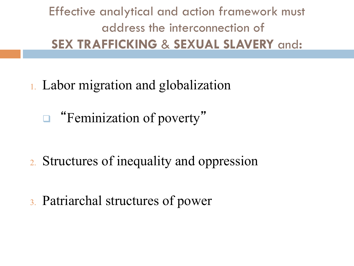Effective analytical and action framework must address the interconnection of **SEX TRAFFICKING** & **SEXUAL SLAVERY** and**:**

- 1. Labor migration and globalization
	- **E** "Feminization of poverty"
- 2. Structures of inequality and oppression
- 3. Patriarchal structures of power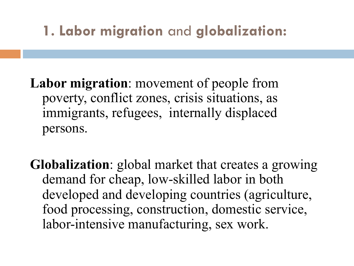### **1. Labor migration** and **globalization:**

- **Labor migration**: movement of people from poverty, conflict zones, crisis situations, as immigrants, refugees, internally displaced persons.
- **Globalization**: global market that creates a growing demand for cheap, low-skilled labor in both developed and developing countries (agriculture, food processing, construction, domestic service, labor-intensive manufacturing, sex work.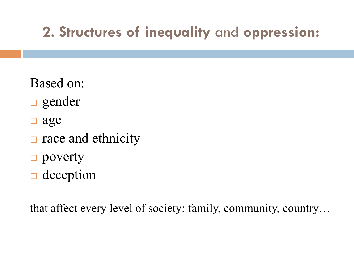### **2. Structures of inequality** and **oppression:**

- Based on:
- $\Box$  gender
- age
- $\Box$  race and ethnicity
- poverty
- $\Box$  deception

that affect every level of society: family, community, country…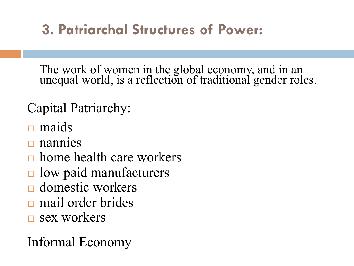### **3. Patriarchal Structures of Power:**

The work of women in the global economy, and in an unequal world, is a reflection of traditional gender roles.

Capital Patriarchy:

- maids
- nannies
- home health care workers
- $\Box$  low paid manufacturers
- $\Box$  domestic workers
- mail order brides
- $\square$  sex workers

Informal Economy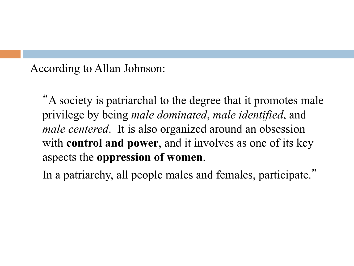According to Allan Johnson:

"A society is patriarchal to the degree that it promotes male privilege by being *male dominated*, *male identified*, and *male centered*. It is also organized around an obsession with **control and power**, and it involves as one of its key aspects the **oppression of women**.

In a patriarchy, all people males and females, participate."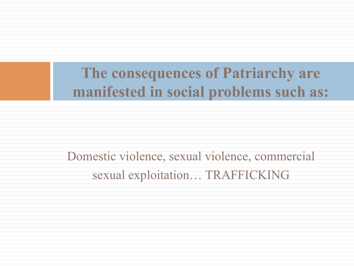### **The consequences of Patriarchy are manifested in social problems such as:**

Domestic violence, sexual violence, commercial sexual exploitation… TRAFFICKING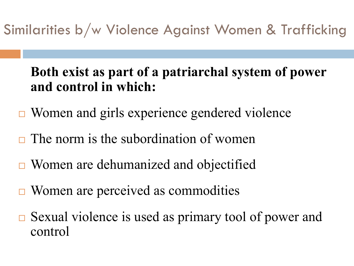### Similarities b/w Violence Against Women & Trafficking

#### **Both exist as part of a patriarchal system of power and control in which:**

- **□** Women and girls experience gendered violence
- The norm is the subordination of women
- □ Women are dehumanized and objectified
- $\Box$  Women are perceived as commodities
- $\Box$  Sexual violence is used as primary tool of power and control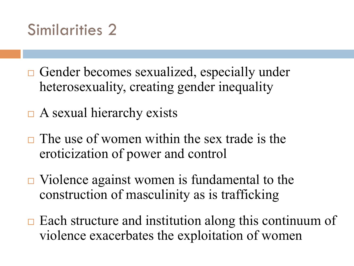### Similarities 2

- $\Box$  Gender becomes sexualized, especially under heterosexuality, creating gender inequality
- $\Box$  A sexual hierarchy exists
- $\Box$  The use of women within the sex trade is the eroticization of power and control
- $\Box$  Violence against women is fundamental to the construction of masculinity as is trafficking
- $\Box$  Each structure and institution along this continuum of violence exacerbates the exploitation of women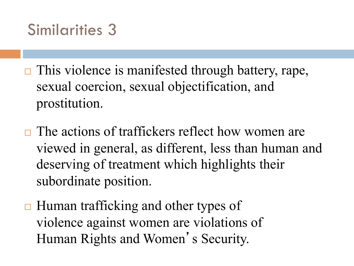### Similarities 3

- $\Box$  This violence is manifested through battery, rape, sexual coercion, sexual objectification, and prostitution.
- $\Box$  The actions of traffickers reflect how women are viewed in general, as different, less than human and deserving of treatment which highlights their subordinate position.
- $\Box$  Human trafficking and other types of violence against women are violations of Human Rights and Women's Security.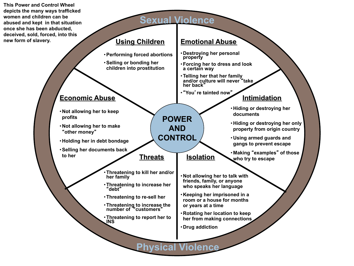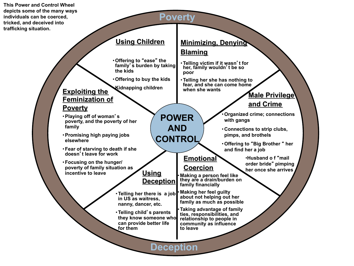**This Power and Control Wheel depicts some of the many ways individuals can be coerced, tricked, and deceived into trafficking situation.** 

#### **Poverty**

**POWER** 

**AND** 

**CONTROL** 

#### **Using Children**

•**Offering to** "**ease**" **the family**'**s burden by taking the kids** 

- •**Offering to buy the kids**
- **Kidnapping children**

#### **Exploiting the Feminization of**

#### **Poverty**

- •**Playing off of woman**'**s poverty, and the poverty of her family**
- •**Promising high paying jobs elsewhere**
- •**Fear of starving to death if she doesn**'**t leave for work**
- •**Focusing on the hunger/ poverty of family situation as incentive to leave**

#### **Using Deception**

•**Telling her there is a job in US as waitress, nanny, dancer, etc.** 

•**Telling child**'**s parents they know someone who can provide better life for them** 

#### **Minimizing, Denying**

#### **Blaming**

- •**Telling victim if it wasn**'**t for her, family wouldn**'**t be so poor**
- •**Telling her she has nothing to fear, and she can come home when she wants**

#### **Male Privilege**

#### **and Crime**

- •**Organized crime; connections with gangs**
- **Connections to strip clubs, pimps, and brothels**
- •**Offering to** "**Big Brother** " **her and find her a job** 
	- •**Husband o f** "**mail order bride**" **pimping her once she arrives**

• **Making a person feel like they are a drain/burden on family financially** 

**Emotional Coercion** 

• **Making her feel guilty about not helping out her family as much as possible** 

•**Taking advantage of family ties, responsibilities, and relationship to people in community as influence to leave** 

**Deception**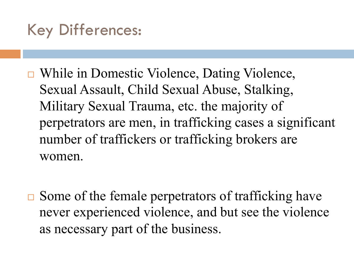### Key Differences:

- While in Domestic Violence, Dating Violence, Sexual Assault, Child Sexual Abuse, Stalking, Military Sexual Trauma, etc. the majority of perpetrators are men, in trafficking cases a significant number of traffickers or trafficking brokers are women.
- $\Box$  Some of the female perpetrators of trafficking have never experienced violence, and but see the violence as necessary part of the business.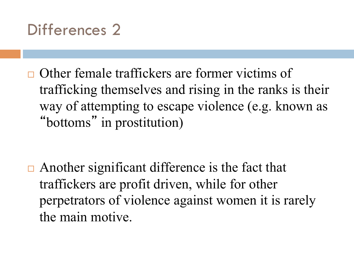### Differences 2

 Other female traffickers are former victims of trafficking themselves and rising in the ranks is their way of attempting to escape violence (e.g. known as "bottoms" in prostitution)

 $\Box$  Another significant difference is the fact that traffickers are profit driven, while for other perpetrators of violence against women it is rarely the main motive.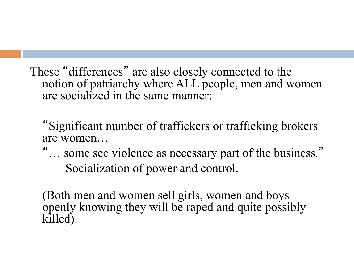These "differences" are also closely connected to the notion of patriarchy where ALL people, men and women are socialized in the same manner:

"Significant number of traffickers or trafficking brokers are women…

"… some see violence as necessary part of the business." Socialization of power and control.

(Both men and women sell girls, women and boys openly knowing they will be raped and quite possibly killed).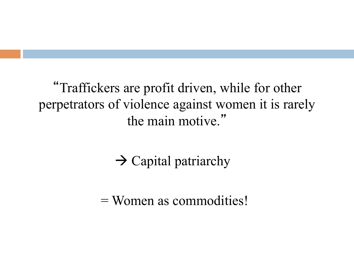"Traffickers are profit driven, while for other perpetrators of violence against women it is rarely the main motive."

 $\rightarrow$  Capital patriarchy

= Women as commodities!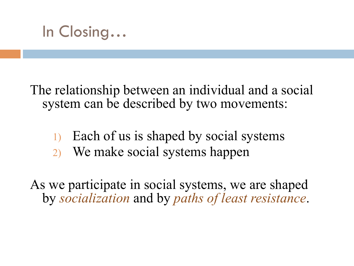In Closing…

The relationship between an individual and a social system can be described by two movements:

- 1) Each of us is shaped by social systems
- 2) We make social systems happen

As we participate in social systems, we are shaped by *socialization* and by *paths of least resistance*.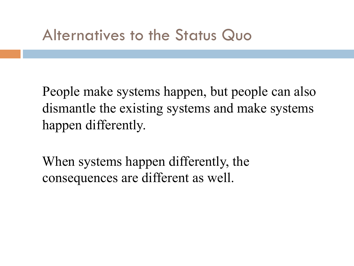### Alternatives to the Status Quo

People make systems happen, but people can also dismantle the existing systems and make systems happen differently.

When systems happen differently, the consequences are different as well.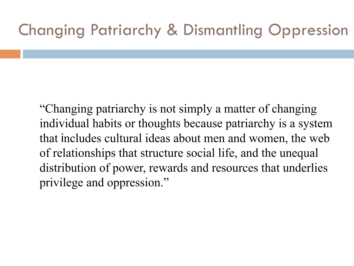### Changing Patriarchy & Dismantling Oppression

"Changing patriarchy is not simply a matter of changing individual habits or thoughts because patriarchy is a system that includes cultural ideas about men and women, the web of relationships that structure social life, and the unequal distribution of power, rewards and resources that underlies privilege and oppression."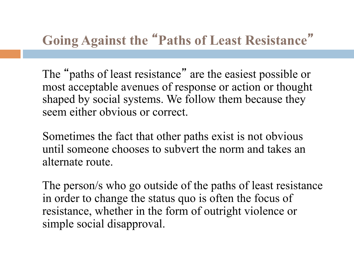#### **Going Against the** "**Paths of Least Resistance**"

The "paths of least resistance" are the easiest possible or most acceptable avenues of response or action or thought shaped by social systems. We follow them because they seem either obvious or correct.

Sometimes the fact that other paths exist is not obvious until someone chooses to subvert the norm and takes an alternate route.

The person/s who go outside of the paths of least resistance in order to change the status quo is often the focus of resistance, whether in the form of outright violence or simple social disapproval.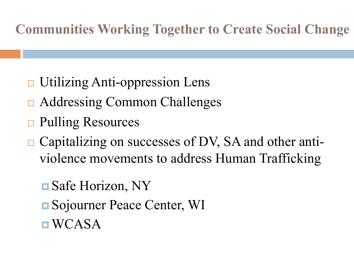#### **Communities Working Together to Create Social Change**

- **□ Utilizing Anti-oppression Lens**
- **□ Addressing Common Challenges**
- **□ Pulling Resources**
- □ Capitalizing on successes of DV, SA and other antiviolence movements to address Human Trafficking
	- Safe Horizon, NY
	- **Sojourner Peace Center, WI**
	- WCASA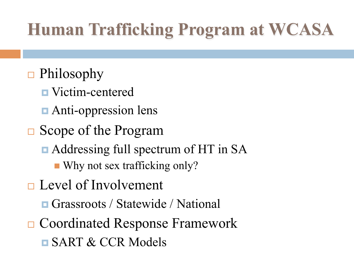# **Human Trafficking Program at WCASA**

- $\Box$  Philosophy
	- **□** Victim-centered
	- **Anti-oppression lens**
- $\square$  Scope of the Program
	- Addressing full spectrum of HT in SA
		- Why not sex trafficking only?
- **□** Level of Involvement
	- Grassroots / Statewide / National
- **□ Coordinated Response Framework SART & CCR Models**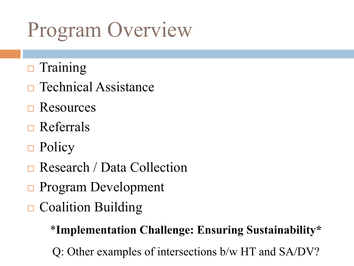# Program Overview

- $\Box$  Training
- Technical Assistance
- Resources
- Referrals
- **Policy**
- Research / Data Collection
- **□ Program Development**
- $\Box$  Coalition Building

\***Implementation Challenge: Ensuring Sustainability\*** 

Q: Other examples of intersections b/w HT and SA/DV?